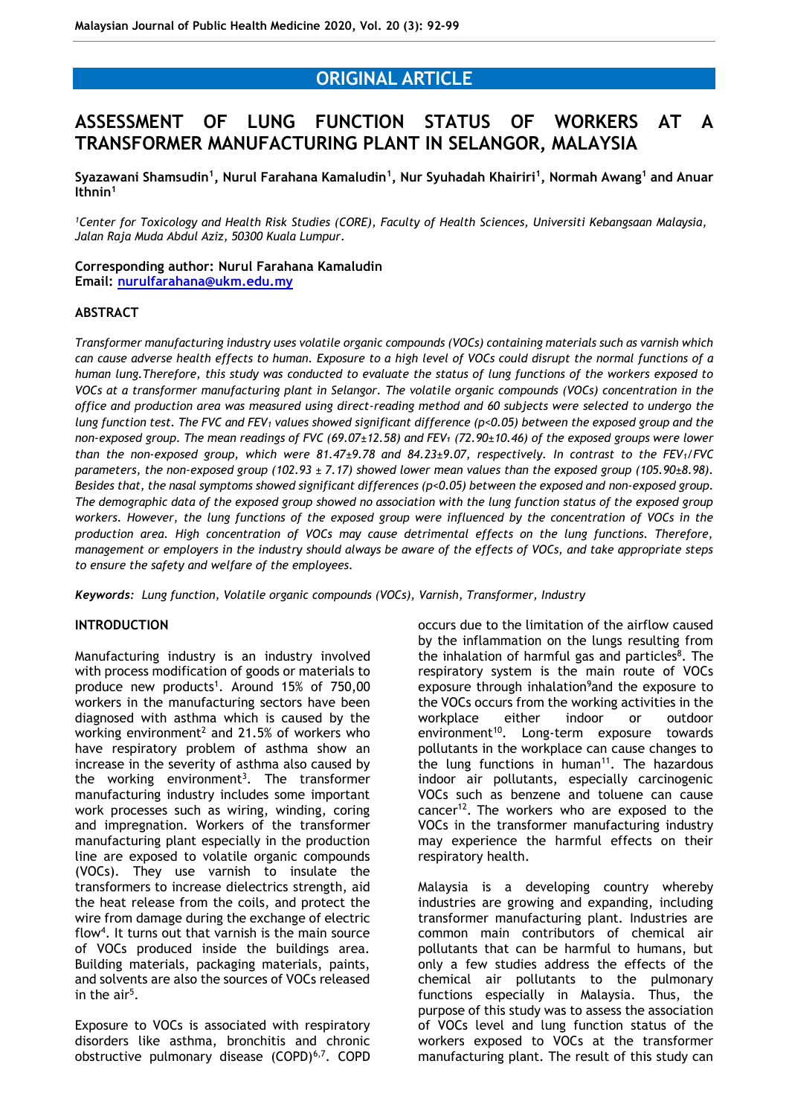# **ORIGINAL ARTICLE**

# **ASSESSMENT OF LUNG FUNCTION STATUS OF WORKERS AT A TRANSFORMER MANUFACTURING PLANT IN SELANGOR, MALAYSIA**

**Syazawani Shamsudin<sup>1</sup> , Nurul Farahana Kamaludin<sup>1</sup> , Nur Syuhadah Khairiri<sup>1</sup> , Normah Awang<sup>1</sup> and Anuar Ithnin<sup>1</sup>**

*<sup>1</sup>Center for Toxicology and Health Risk Studies (CORE), Faculty of Health Sciences, Universiti Kebangsaan Malaysia, Jalan Raja Muda Abdul Aziz, 50300 Kuala Lumpur.*

## **Corresponding author: Nurul Farahana Kamaludin Email: [nurulfarahana@ukm.edu.my](mailto:nurulfarahana@ukm.edu.my)**

#### **ABSTRACT**

*Transformer manufacturing industry uses volatile organic compounds (VOCs) containing materials such as varnish which can cause adverse health effects to human. Exposure to a high level of VOCs could disrupt the normal functions of a human lung.Therefore, this study was conducted to evaluate the status of lung functions of the workers exposed to VOCs at a transformer manufacturing plant in Selangor. The volatile organic compounds (VOCs) concentration in the office and production area was measured using direct-reading method and 60 subjects were selected to undergo the lung function test. The FVC and FEV<sup>1</sup> values showed significant difference (p<0.05) between the exposed group and the non-exposed group. The mean readings of FVC (69.07±12.58) and FEV₁ (72.90±10.46) of the exposed groups were lower than the non-exposed group, which were 81.47±9.78 and 84.23±9.07, respectively. In contrast to the FEV1/FVC parameters, the non-exposed group (102.93 ± 7.17) showed lower mean values than the exposed group (105.90±8.98). Besides that, the nasal symptoms showed significant differences (p<0.05) between the exposed and non-exposed group. The demographic data of the exposed group showed no association with the lung function status of the exposed group workers. However, the lung functions of the exposed group were influenced by the concentration of VOCs in the production area. High concentration of VOCs may cause detrimental effects on the lung functions. Therefore, management or employers in the industry should always be aware of the effects of VOCs, and take appropriate steps to ensure the safety and welfare of the employees.*

*Keywords: Lung function, Volatile organic compounds (VOCs), Varnish, Transformer, Industry*

#### **INTRODUCTION**

Manufacturing industry is an industry involved with process modification of goods or materials to produce new products<sup>1</sup>. Around 15% of 750,00 workers in the manufacturing sectors have been diagnosed with asthma which is caused by the working environment<sup>2</sup> and 21.5% of workers who have respiratory problem of asthma show an increase in the severity of asthma also caused by the working environment<sup>3</sup>. The transformer manufacturing industry includes some important work processes such as wiring, winding, coring and impregnation. Workers of the transformer manufacturing plant especially in the production line are exposed to volatile organic compounds (VOCs). They use varnish to insulate the transformers to increase dielectrics strength, aid the heat release from the coils, and protect the wire from damage during the exchange of electric flow<sup>4</sup>. It turns out that varnish is the main source of VOCs produced inside the buildings area. Building materials, packaging materials, paints, and solvents are also the sources of VOCs released in the air<sup>5</sup>.

Exposure to VOCs is associated with respiratory disorders like asthma, bronchitis and chronic obstructive pulmonary disease (COPD)<sup>6,7</sup>. COPD occurs due to the limitation of the airflow caused by the inflammation on the lungs resulting from the inhalation of harmful gas and particles<sup>8</sup>. The respiratory system is the main route of VOCs exposure through inhalation<sup>9</sup> and the exposure to the VOCs occurs from the working activities in the workplace either indoor or outdoor  $environment<sup>10</sup>$ . Long-term exposure towards pollutants in the workplace can cause changes to the lung functions in human $11$ . The hazardous indoor air pollutants, especially carcinogenic VOCs such as benzene and toluene can cause cancer<sup>12</sup>. The workers who are exposed to the VOCs in the transformer manufacturing industry may experience the harmful effects on their respiratory health.

Malaysia is a developing country whereby industries are growing and expanding, including transformer manufacturing plant. Industries are common main contributors of chemical air pollutants that can be harmful to humans, but only a few studies address the effects of the chemical air pollutants to the pulmonary functions especially in Malaysia. Thus, the purpose of this study was to assess the association of VOCs level and lung function status of the workers exposed to VOCs at the transformer manufacturing plant. The result of this study can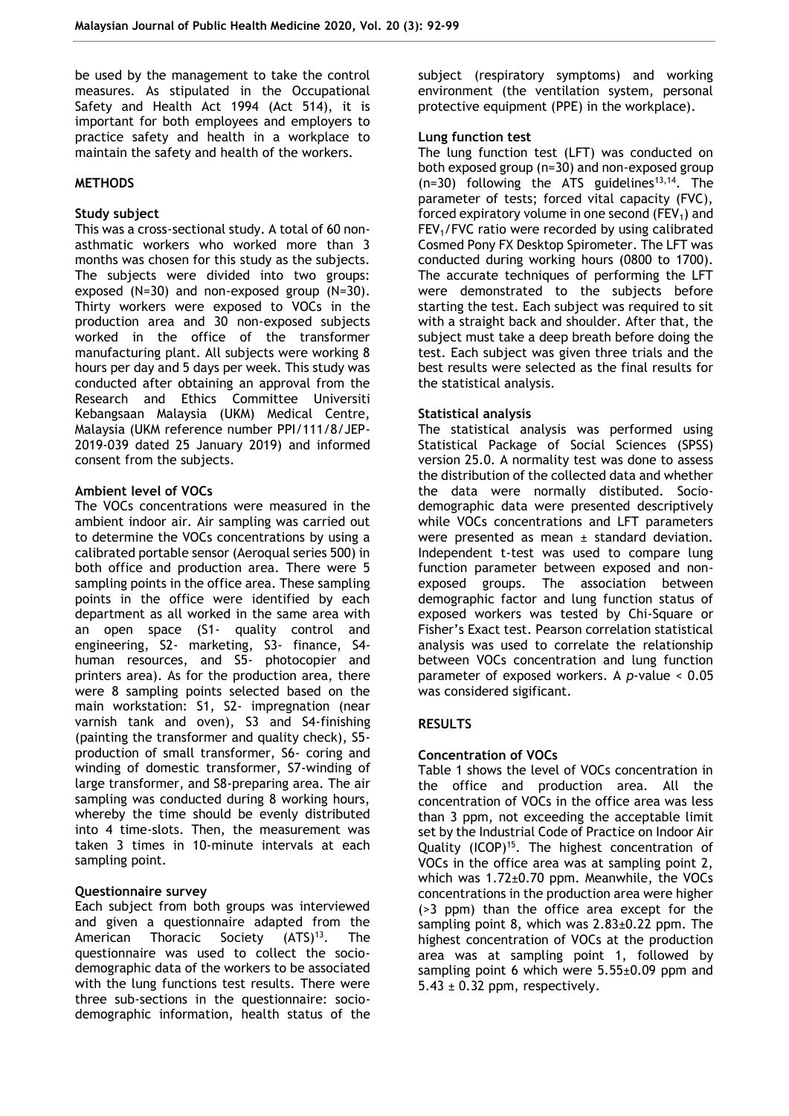be used by the management to take the control measures. As stipulated in the Occupational Safety and Health Act 1994 (Act 514), it is important for both employees and employers to practice safety and health in a workplace to maintain the safety and health of the workers.

### **METHODS**

## **Study subject**

This was a cross-sectional study. A total of 60 nonasthmatic workers who worked more than 3 months was chosen for this study as the subjects. The subjects were divided into two groups: exposed (N=30) and non-exposed group (N=30). Thirty workers were exposed to VOCs in the production area and 30 non-exposed subjects worked in the office of the transformer manufacturing plant. All subjects were working 8 hours per day and 5 days per week. This study was conducted after obtaining an approval from the Research and Ethics Committee Universiti Kebangsaan Malaysia (UKM) Medical Centre, Malaysia (UKM reference number PPI/111/8/JEP-2019-039 dated 25 January 2019) and informed consent from the subjects.

## **Ambient level of VOCs**

The VOCs concentrations were measured in the ambient indoor air. Air sampling was carried out to determine the VOCs concentrations by using a calibrated portable sensor (Aeroqual series 500) in both office and production area. There were 5 sampling points in the office area. These sampling points in the office were identified by each department as all worked in the same area with an open space (S1- quality control and engineering, S2- marketing, S3- finance, S4 human resources, and S5- photocopier and printers area). As for the production area, there were 8 sampling points selected based on the main workstation: S1, S2- impregnation (near varnish tank and oven), S3 and S4-finishing (painting the transformer and quality check), S5 production of small transformer, S6- coring and winding of domestic transformer, S7-winding of large transformer, and S8-preparing area. The air sampling was conducted during 8 working hours, whereby the time should be evenly distributed into 4 time-slots. Then, the measurement was taken 3 times in 10-minute intervals at each sampling point.

#### **Questionnaire survey**

Each subject from both groups was interviewed and given a questionnaire adapted from the American Thoracic Society (ATS)<sup>13</sup>. The questionnaire was used to collect the sociodemographic data of the workers to be associated with the lung functions test results. There were three sub-sections in the questionnaire: sociodemographic information, health status of the

subject (respiratory symptoms) and working environment (the ventilation system, personal protective equipment (PPE) in the workplace).

### **Lung function test**

The lung function test (LFT) was conducted on both exposed group (n=30) and non-exposed group  $(n=30)$  following the ATS guidelines<sup>13,14</sup>. The parameter of tests; forced vital capacity (FVC), forced expiratory volume in one second ( $FEV<sub>1</sub>$ ) and FEV1/FVC ratio were recorded by using calibrated Cosmed Pony FX Desktop Spirometer. The LFT was conducted during working hours (0800 to 1700). The accurate techniques of performing the LFT were demonstrated to the subjects before starting the test. Each subject was required to sit with a straight back and shoulder. After that, the subject must take a deep breath before doing the test. Each subject was given three trials and the best results were selected as the final results for the statistical analysis.

## **Statistical analysis**

The statistical analysis was performed using Statistical Package of Social Sciences (SPSS) version 25.0. A normality test was done to assess the distribution of the collected data and whether the data were normally distibuted. Sociodemographic data were presented descriptively while VOCs concentrations and LFT parameters were presented as mean  $\pm$  standard deviation. Independent t-test was used to compare lung function parameter between exposed and nonexposed groups. The association between demographic factor and lung function status of exposed workers was tested by Chi-Square or Fisher's Exact test. Pearson correlation statistical analysis was used to correlate the relationship between VOCs concentration and lung function parameter of exposed workers. A *p*-value < 0.05 was considered sigificant.

# **RESULTS**

# **Concentration of VOCs**

Table 1 shows the level of VOCs concentration in the office and production area. All the concentration of VOCs in the office area was less than 3 ppm, not exceeding the acceptable limit set by the Industrial Code of Practice on Indoor Air Quality (ICOP)<sup>15</sup>. The highest concentration of VOCs in the office area was at sampling point 2, which was 1.72±0.70 ppm. Meanwhile, the VOCs concentrations in the production area were higher (>3 ppm) than the office area except for the sampling point 8, which was  $2.83\pm0.22$  ppm. The highest concentration of VOCs at the production area was at sampling point 1, followed by sampling point 6 which were 5.55±0.09 ppm and  $5.43 \pm 0.32$  ppm, respectively.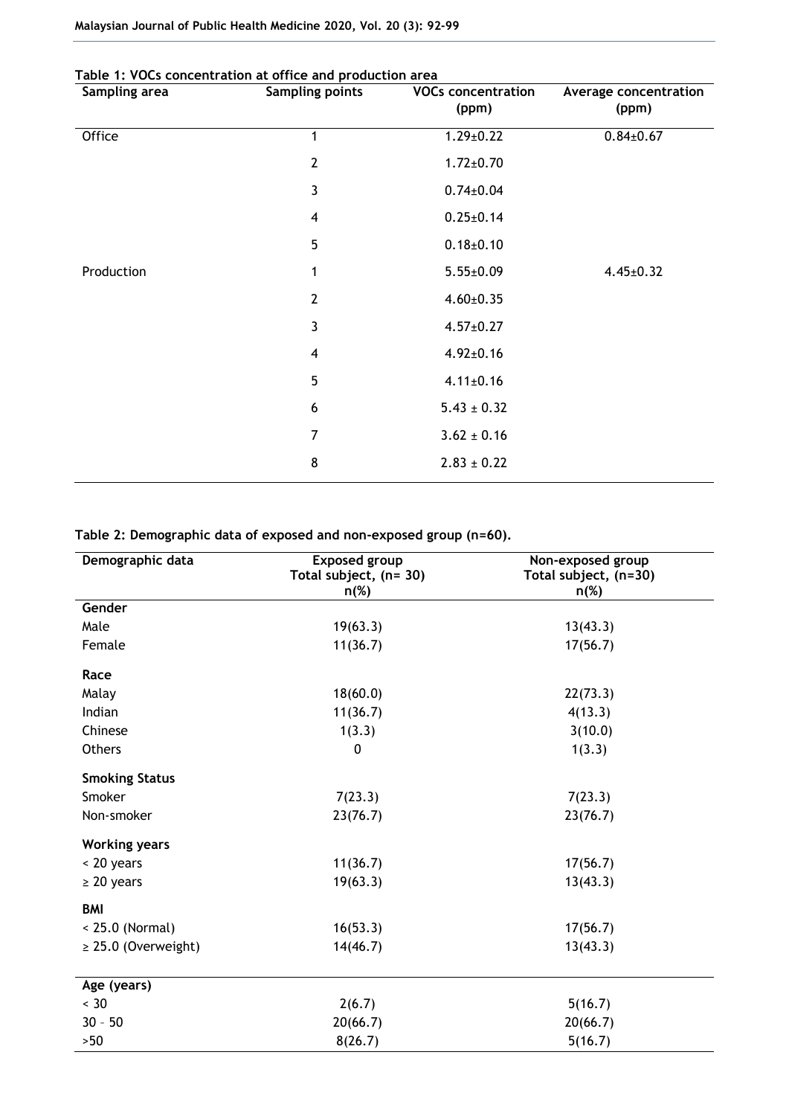| Sampling area | rable 1. TOCs concentration at orrice and production area<br><b>Sampling points</b> | <b>VOCs concentration</b> | Average concentration |
|---------------|-------------------------------------------------------------------------------------|---------------------------|-----------------------|
|               |                                                                                     | (ppm)                     | (ppm)                 |
| Office        | 1                                                                                   | $1.29 \pm 0.22$           | $0.84 \pm 0.67$       |
|               | $\overline{2}$                                                                      | $1.72 \pm 0.70$           |                       |
|               | 3                                                                                   | $0.74 \pm 0.04$           |                       |
|               | $\overline{4}$                                                                      | $0.25 \pm 0.14$           |                       |
|               | 5                                                                                   | $0.18 \pm 0.10$           |                       |
| Production    | 1                                                                                   | $5.55 \pm 0.09$           | $4.45 \pm 0.32$       |
|               | $\overline{2}$                                                                      | $4.60 \pm 0.35$           |                       |
|               | 3                                                                                   | $4.57 \pm 0.27$           |                       |
|               | $\overline{\mathbf{4}}$                                                             | $4.92 \pm 0.16$           |                       |
|               | 5                                                                                   | $4.11 \pm 0.16$           |                       |
|               | 6                                                                                   | $5.43 \pm 0.32$           |                       |
|               | 7                                                                                   | $3.62 \pm 0.16$           |                       |
|               | 8                                                                                   | $2.83 \pm 0.22$           |                       |
|               |                                                                                     |                           |                       |

# **Table 2: Demographic data of exposed and non-exposed group (n=60).**

| Demographic data         | <b>Exposed group</b><br>Total subject, (n= 30)<br>$n(\%)$ | Non-exposed group<br>Total subject, (n=30)<br>$n(\%)$ |
|--------------------------|-----------------------------------------------------------|-------------------------------------------------------|
| Gender                   |                                                           |                                                       |
| Male                     | 19(63.3)                                                  | 13(43.3)                                              |
| Female                   | 11(36.7)                                                  | 17(56.7)                                              |
| Race                     |                                                           |                                                       |
| Malay                    | 18(60.0)                                                  | 22(73.3)                                              |
| Indian                   | 11(36.7)                                                  | 4(13.3)                                               |
| Chinese                  | 1(3.3)                                                    | 3(10.0)                                               |
| <b>Others</b>            | 0                                                         | 1(3.3)                                                |
| <b>Smoking Status</b>    |                                                           |                                                       |
| Smoker                   | 7(23.3)                                                   | 7(23.3)                                               |
| Non-smoker               | 23(76.7)                                                  | 23(76.7)                                              |
| <b>Working years</b>     |                                                           |                                                       |
| < 20 years               | 11(36.7)                                                  | 17(56.7)                                              |
| $\geq 20$ years          | 19(63.3)                                                  | 13(43.3)                                              |
| <b>BMI</b>               |                                                           |                                                       |
| $< 25.0$ (Normal)        | 16(53.3)                                                  | 17(56.7)                                              |
| $\geq$ 25.0 (Overweight) | 14(46.7)                                                  | 13(43.3)                                              |
| Age (years)              |                                                           |                                                       |
| $< 30$                   | 2(6.7)                                                    | 5(16.7)                                               |
| $30 - 50$                | 20(66.7)                                                  | 20(66.7)                                              |
| $>50$                    | 8(26.7)                                                   | 5(16.7)                                               |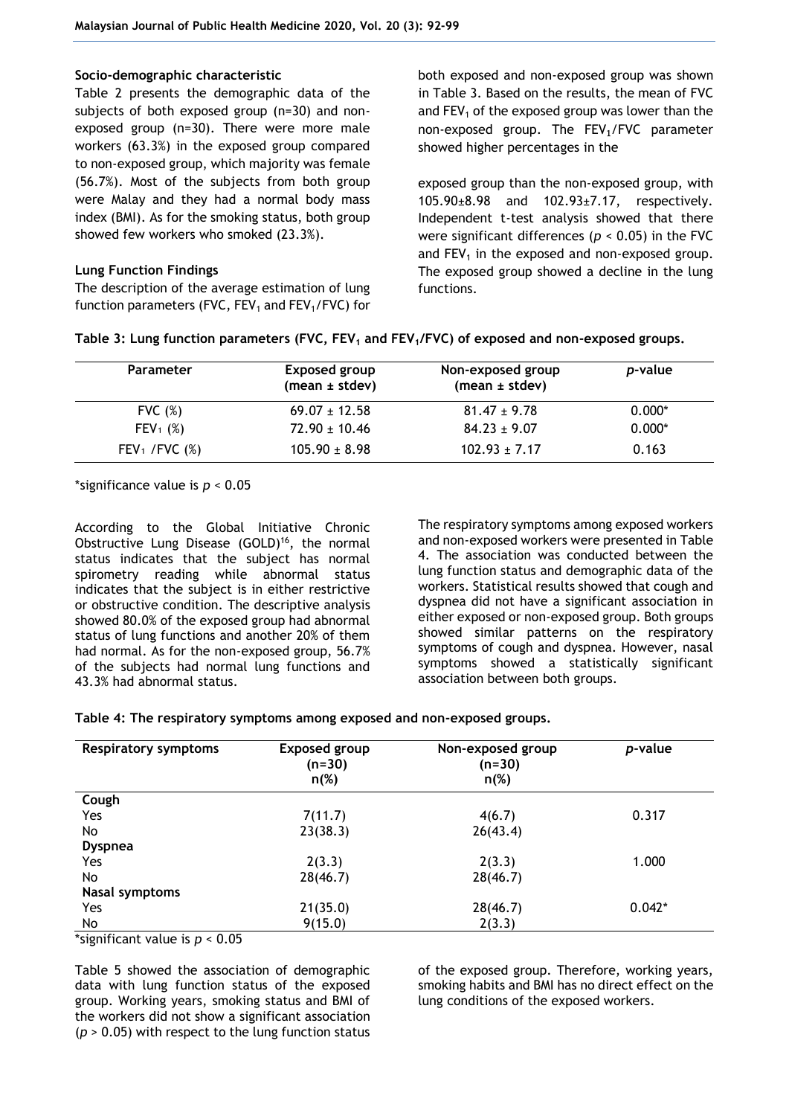## **Socio-demographic characteristic**

Table 2 presents the demographic data of the subjects of both exposed group (n=30) and nonexposed group (n=30). There were more male workers (63.3%) in the exposed group compared to non-exposed group, which majority was female (56.7%). Most of the subjects from both group were Malay and they had a normal body mass index (BMI). As for the smoking status, both group showed few workers who smoked (23.3%).

# **Lung Function Findings**

The description of the average estimation of lung function parameters (FVC,  $FEV_1$  and  $FEV_1/FVC$ ) for both exposed and non-exposed group was shown in Table 3. Based on the results, the mean of FVC and  $FEV<sub>1</sub>$  of the exposed group was lower than the non-exposed group. The FEV₁/FVC parameter showed higher percentages in the

exposed group than the non-exposed group, with 105.90±8.98 and 102.93±7.17, respectively. Independent t-test analysis showed that there were significant differences (*p* < 0.05) in the FVC and  $FEV<sub>1</sub>$  in the exposed and non-exposed group. The exposed group showed a decline in the lung functions.

| <b>Parameter</b>             | Exposed group<br>(mean ± stdev) | Non-exposed group<br>(mean $\pm$ stdev) | <i>p</i> -value |
|------------------------------|---------------------------------|-----------------------------------------|-----------------|
| FVC $(\%)$                   | $69.07 \pm 12.58$               | $81.47 \pm 9.78$                        | $0.000*$        |
| $FEV_1$ (%)                  | $72.90 \pm 10.46$               | $84.23 \pm 9.07$                        | $0.000*$        |
| FEV <sub>1</sub> /FVC $(\%)$ | $105.90 \pm 8.98$               | $102.93 \pm 7.17$                       | 0.163           |

**Table 3: Lung function parameters (FVC, FEV<sup>1</sup> and FEV1/FVC) of exposed and non-exposed groups.**

\*significance value is *p* < 0.05

According to the Global Initiative Chronic Obstructive Lung Disease (GOLD)<sup>16</sup>, the normal status indicates that the subject has normal spirometry reading while abnormal status indicates that the subject is in either restrictive or obstructive condition. The descriptive analysis showed 80.0% of the exposed group had abnormal status of lung functions and another 20% of them had normal. As for the non-exposed group, 56.7% of the subjects had normal lung functions and 43.3% had abnormal status.

The respiratory symptoms among exposed workers and non-exposed workers were presented in Table 4. The association was conducted between the lung function status and demographic data of the workers. Statistical results showed that cough and dyspnea did not have a significant association in either exposed or non-exposed group. Both groups showed similar patterns on the respiratory symptoms of cough and dyspnea. However, nasal symptoms showed a statistically significant association between both groups.

| Table 4: The respiratory symptoms among exposed and non-exposed groups. |  |  |  |
|-------------------------------------------------------------------------|--|--|--|
|                                                                         |  |  |  |

| <b>Respiratory symptoms</b> | <b>Exposed group</b><br>$(n=30)$<br>$n(\%)$ | Non-exposed group<br>$(n=30)$<br>$n(\%)$ | p-value  |
|-----------------------------|---------------------------------------------|------------------------------------------|----------|
| Cough                       |                                             |                                          |          |
| Yes                         | 7(11.7)                                     | 4(6.7)                                   | 0.317    |
| No                          | 23(38.3)                                    | 26(43.4)                                 |          |
| <b>Dyspnea</b>              |                                             |                                          |          |
| Yes                         | 2(3.3)                                      | 2(3.3)                                   | 1.000    |
| No                          | 28(46.7)                                    | 28(46.7)                                 |          |
| <b>Nasal symptoms</b>       |                                             |                                          |          |
| Yes                         | 21(35.0)                                    | 28(46.7)                                 | $0.042*$ |
| No                          | 9(15.0)                                     | 2(3.3)                                   |          |

\*significant value is *p* < 0.05

Table 5 showed the association of demographic data with lung function status of the exposed group. Working years, smoking status and BMI of the workers did not show a significant association (*p* > 0.05) with respect to the lung function status

of the exposed group. Therefore, working years, smoking habits and BMI has no direct effect on the lung conditions of the exposed workers.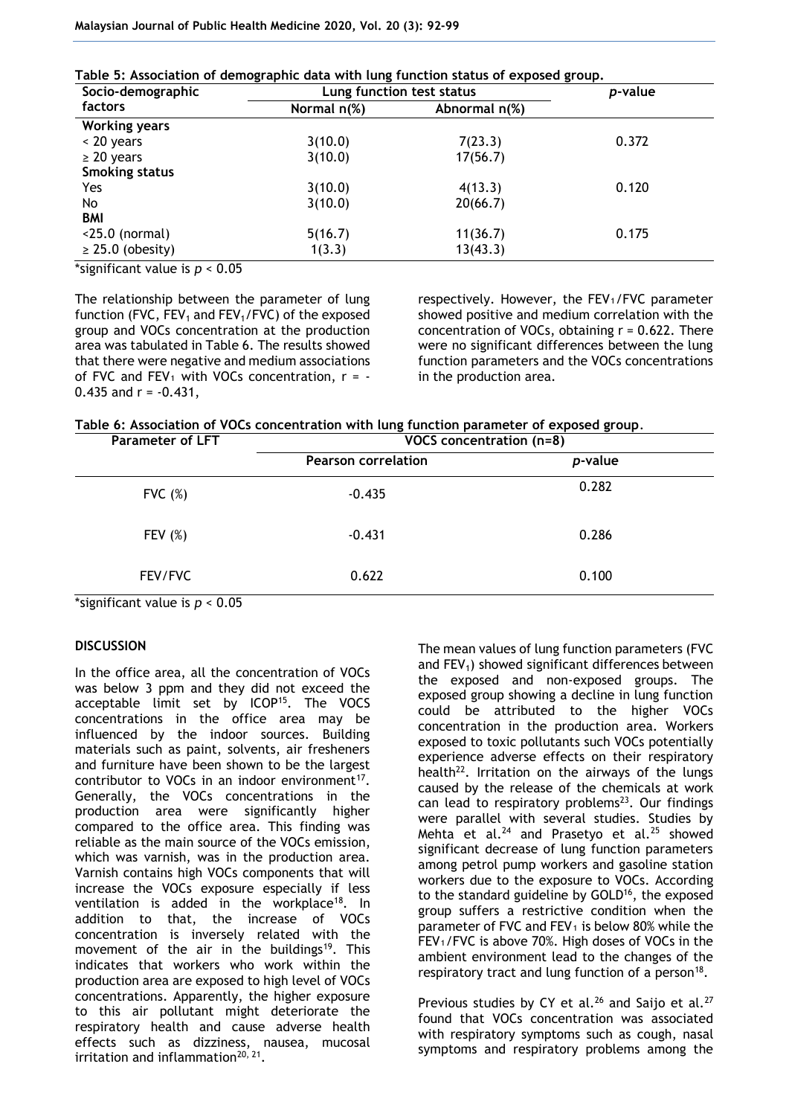| Table 5: Association of demographic data with lung function status of exposed group. |  |
|--------------------------------------------------------------------------------------|--|
|--------------------------------------------------------------------------------------|--|

| Socio-demographic     | Lung function test status |               | <i>p</i> -value |
|-----------------------|---------------------------|---------------|-----------------|
| factors               | Normal $n$ (%)            | Abnormal n(%) |                 |
| <b>Working years</b>  |                           |               |                 |
| $\leq$ 20 years       | 3(10.0)                   | 7(23.3)       | 0.372           |
| $\geq$ 20 years       | 3(10.0)                   | 17(56.7)      |                 |
| <b>Smoking status</b> |                           |               |                 |
| Yes                   | 3(10.0)                   | 4(13.3)       | 0.120           |
| No.                   | 3(10.0)                   | 20(66.7)      |                 |
| <b>BMI</b>            |                           |               |                 |
| $<$ 25.0 (normal)     | 5(16.7)                   | 11(36.7)      | 0.175           |
| $\geq$ 25.0 (obesity) | 1(3.3)                    | 13(43.3)      |                 |

\*significant value is *p* < 0.05

The relationship between the parameter of lung function (FVC,  $FEV_1$  and  $FEV_1/FVC$ ) of the exposed group and VOCs concentration at the production area was tabulated in Table 6. The results showed that there were negative and medium associations of FVC and FEV<sub>1</sub> with VOCs concentration,  $r = -$ 0.435 and  $r = -0.431$ .

respectively. However, the FEV1/FVC parameter showed positive and medium correlation with the concentration of VOCs, obtaining  $r = 0.622$ . There were no significant differences between the lung function parameters and the VOCs concentrations in the production area.

**Table 6: Association of VOCs concentration with lung function parameter of exposed group**.

| <b>Parameter of LFT</b> | VOCS concentration (n=8)   |         |  |
|-------------------------|----------------------------|---------|--|
|                         | <b>Pearson correlation</b> | p-value |  |
| FVC $(\%)$              | $-0.435$                   | 0.282   |  |
| FEV $(\%)$              | $-0.431$                   | 0.286   |  |
| FEV/FVC                 | 0.622                      | 0.100   |  |

\*significant value is *p* < 0.05

#### **DISCUSSION**

In the office area, all the concentration of VOCs was below 3 ppm and they did not exceed the acceptable limit set by ICOP<sup>15</sup>. The VOCS concentrations in the office area may be influenced by the indoor sources. Building materials such as paint, solvents, air fresheners and furniture have been shown to be the largest contributor to VOCs in an indoor environment $17$ . Generally, the VOCs concentrations in the production area were significantly higher compared to the office area. This finding was reliable as the main source of the VOCs emission, which was varnish, was in the production area. Varnish contains high VOCs components that will increase the VOCs exposure especially if less ventilation is added in the workplace<sup>18</sup>. In addition to that, the increase of VOCs concentration is inversely related with the movement of the air in the buildings<sup>19</sup>. This indicates that workers who work within the production area are exposed to high level of VOCs concentrations. Apparently, the higher exposure to this air pollutant might deteriorate the respiratory health and cause adverse health effects such as dizziness, nausea, mucosal irritation and inflammation<sup>20, 21</sup>.

The mean values of lung function parameters (FVC and  $FEV<sub>1</sub>$ ) showed significant differences between the exposed and non-exposed groups. The exposed group showing a decline in lung function could be attributed to the higher VOCs concentration in the production area. Workers exposed to toxic pollutants such VOCs potentially experience adverse effects on their respiratory health $^{22}$ . Irritation on the airways of the lungs caused by the release of the chemicals at work can lead to respiratory problems $23$ . Our findings were parallel with several studies. Studies by Mehta et al. $^{24}$  and Prasetyo et al. $^{25}$  showed significant decrease of lung function parameters among petrol pump workers and gasoline station workers due to the exposure to VOCs. According to the standard guideline by GOLD<sup>16</sup>, the exposed group suffers a restrictive condition when the parameter of FVC and FEV<sub>1</sub> is below 80% while the FEV₁/FVC is above 70%. High doses of VOCs in the ambient environment lead to the changes of the respiratory tract and lung function of a person<sup>18</sup>.

Previous studies by CY et al.<sup>26</sup> and Saijo et al.<sup>27</sup> found that VOCs concentration was associated with respiratory symptoms such as cough, nasal symptoms and respiratory problems among the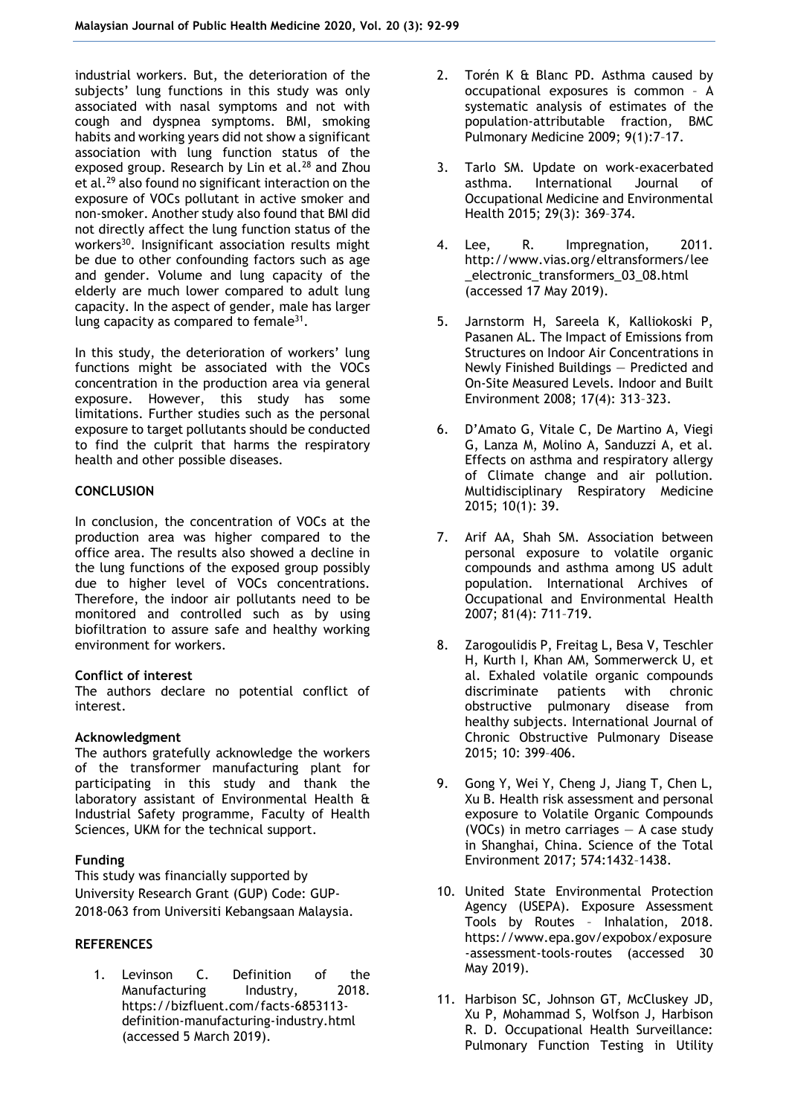industrial workers. But, the deterioration of the subjects' lung functions in this study was only associated with nasal symptoms and not with cough and dyspnea symptoms. BMI, smoking habits and working years did not show a significant association with lung function status of the exposed group. Research by Lin et al.<sup>28</sup> and Zhou et al.<sup>29</sup> also found no significant interaction on the exposure of VOCs pollutant in active smoker and non-smoker. Another study also found that BMI did not directly affect the lung function status of the workers<sup>30</sup>. Insignificant association results might be due to other confounding factors such as age and gender. Volume and lung capacity of the elderly are much lower compared to adult lung capacity. In the aspect of gender, male has larger lung capacity as compared to female $31$ .

In this study, the deterioration of workers' lung functions might be associated with the VOCs concentration in the production area via general exposure. However, this study has some limitations. Further studies such as the personal exposure to target pollutants should be conducted to find the culprit that harms the respiratory health and other possible diseases.

## **CONCLUSION**

In conclusion, the concentration of VOCs at the production area was higher compared to the office area. The results also showed a decline in the lung functions of the exposed group possibly due to higher level of VOCs concentrations. Therefore, the indoor air pollutants need to be monitored and controlled such as by using biofiltration to assure safe and healthy working environment for workers.

#### **Conflict of interest**

The authors declare no potential conflict of interest.

#### **Acknowledgment**

The authors gratefully acknowledge the workers of the transformer manufacturing plant for participating in this study and thank the laboratory assistant of Environmental Health & Industrial Safety programme, Faculty of Health Sciences, UKM for the technical support.

# **Funding**

This study was financially supported by University Research Grant (GUP) Code: GUP-2018-063 from Universiti Kebangsaan Malaysia.

# **REFERENCES**

1. Levinson C. Definition of the<br>Manufacturing lndustry, 2018. Manufacturing Industry, 2018. https://bizfluent.com/facts-6853113 definition-manufacturing-industry.html (accessed 5 March 2019).

- 2. Torén K & Blanc PD. Asthma caused by occupational exposures is common – A systematic analysis of estimates of the population-attributable fraction*,* BMC Pulmonary Medicine 2009; 9(1):7–17.
- 3. Tarlo SM. Update on work-exacerbated asthma. International Journal of Occupational Medicine and Environmental Health 2015; 29(3): 369–374.
- 4. Lee, R. Impregnation, 2011. http://www.vias.org/eltransformers/lee \_electronic\_transformers\_03\_08.html (accessed 17 May 2019).
- 5. Jarnstorm H, Sareela K, Kalliokoski P, Pasanen AL. The Impact of Emissions from Structures on Indoor Air Concentrations in Newly Finished Buildings — Predicted and On-Site Measured Levels. Indoor and Built Environment 2008; 17(4): 313–323.
- 6. D'Amato G, Vitale C, De Martino A, Viegi G, Lanza M, Molino A, Sanduzzi A, et al. Effects on asthma and respiratory allergy of Climate change and air pollution. Multidisciplinary Respiratory Medicine 2015; 10(1): 39.
- 7. Arif AA, Shah SM. Association between personal exposure to volatile organic compounds and asthma among US adult population. International Archives of Occupational and Environmental Health 2007; 81(4): 711–719.
- 8. Zarogoulidis P, Freitag L, Besa V, Teschler H, Kurth I, Khan AM, Sommerwerck U, et al. Exhaled volatile organic compounds discriminate patients with chronic obstructive pulmonary disease from healthy subjects. International Journal of Chronic Obstructive Pulmonary Disease 2015; 10: 399–406.
- 9. Gong Y, Wei Y, Cheng J, Jiang T, Chen L, Xu B. Health risk assessment and personal exposure to Volatile Organic Compounds (VOCs) in metro carriages — A case study in Shanghai, China. Science of the Total Environment 2017; 574:1432–1438.
- 10. United State Environmental Protection Agency (USEPA). Exposure Assessment Tools by Routes – Inhalation, 2018. https://www.epa.gov/expobox/exposure -assessment-tools-routes (accessed 30 May 2019).
- 11. Harbison SC, Johnson GT, McCluskey JD, Xu P, Mohammad S, Wolfson J, Harbison R. D. Occupational Health Surveillance: Pulmonary Function Testing in Utility